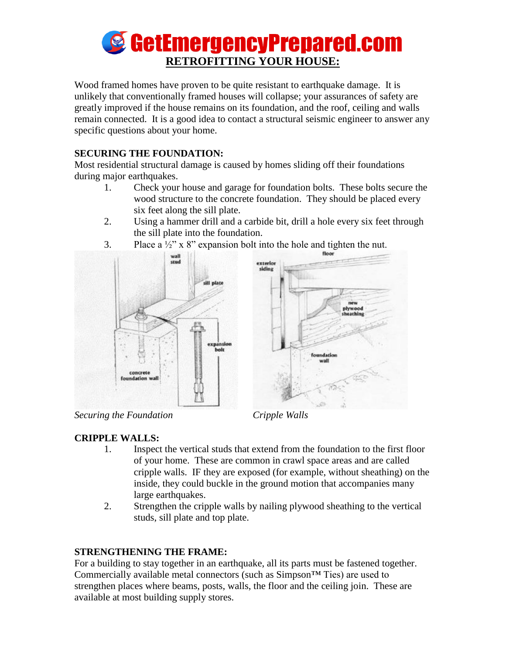# **SetEmergencyPrepared.com RETROFITTING YOUR HOUSE:**

Wood framed homes have proven to be quite resistant to earthquake damage. It is unlikely that conventionally framed houses will collapse; your assurances of safety are greatly improved if the house remains on its foundation, and the roof, ceiling and walls remain connected. It is a good idea to contact a structural seismic engineer to answer any specific questions about your home.

#### **SECURING THE FOUNDATION:**

Most residential structural damage is caused by homes sliding off their foundations during major earthquakes.

- 1. Check your house and garage for foundation bolts. These bolts secure the wood structure to the concrete foundation. They should be placed every six feet along the sill plate.
- 2. Using a hammer drill and a carbide bit, drill a hole every six feet through the sill plate into the foundation.



3. Place a  $\frac{1}{2}$ " x 8" expansion bolt into the hole and tighten the nut.

*Securing the Foundation Cripple Walls*

## **CRIPPLE WALLS:**

- 1. Inspect the vertical studs that extend from the foundation to the first floor of your home. These are common in crawl space areas and are called cripple walls. IF they are exposed (for example, without sheathing) on the inside, they could buckle in the ground motion that accompanies many large earthquakes.
- 2. Strengthen the cripple walls by nailing plywood sheathing to the vertical studs, sill plate and top plate.

## **STRENGTHENING THE FRAME:**

For a building to stay together in an earthquake, all its parts must be fastened together. Commercially available metal connectors (such as  $Simpson^{TM}$  Ties) are used to strengthen places where beams, posts, walls, the floor and the ceiling join. These are available at most building supply stores.